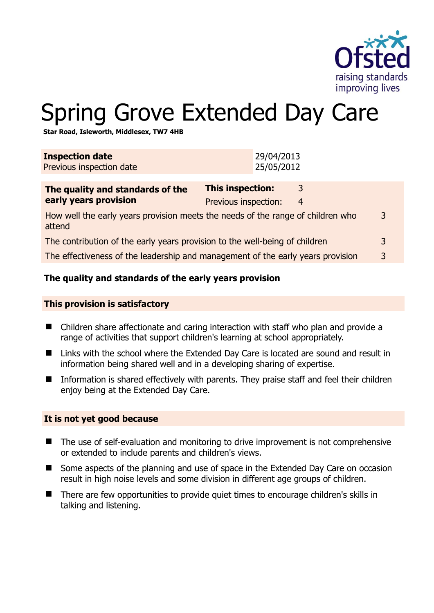

# Spring Grove Extended Day Care

**Star Road, Isleworth, Middlesex, TW7 4HB** 

| <b>Inspection date</b><br>Previous inspection date                                             |                                                 | 29/04/2013<br>25/05/2012 |        |   |
|------------------------------------------------------------------------------------------------|-------------------------------------------------|--------------------------|--------|---|
| The quality and standards of the<br>early years provision                                      | <b>This inspection:</b><br>Previous inspection: |                          | 3<br>4 |   |
| How well the early years provision meets the needs of the range of children who<br>3<br>attend |                                                 |                          |        |   |
| The contribution of the early years provision to the well-being of children                    |                                                 |                          |        | 3 |
| The effectiveness of the leadership and management of the early years provision                |                                                 |                          |        | 3 |
|                                                                                                |                                                 |                          |        |   |

# **The quality and standards of the early years provision**

#### **This provision is satisfactory**

- Children share affectionate and caring interaction with staff who plan and provide a range of activities that support children's learning at school appropriately.
- Links with the school where the Extended Day Care is located are sound and result in information being shared well and in a developing sharing of expertise.
- Information is shared effectively with parents. They praise staff and feel their children enjoy being at the Extended Day Care.

#### **It is not yet good because**

- The use of self-evaluation and monitoring to drive improvement is not comprehensive or extended to include parents and children's views.
- Some aspects of the planning and use of space in the Extended Day Care on occasion result in high noise levels and some division in different age groups of children.
- There are few opportunities to provide quiet times to encourage children's skills in talking and listening.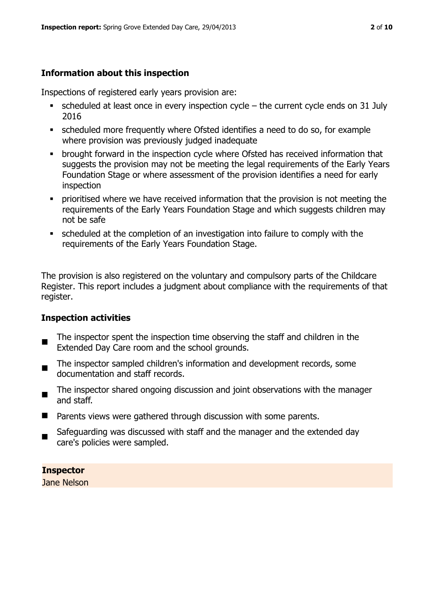# **Information about this inspection**

Inspections of registered early years provision are:

- $\blacksquare$  scheduled at least once in every inspection cycle the current cycle ends on 31 July 2016
- scheduled more frequently where Ofsted identifies a need to do so, for example where provision was previously judged inadequate
- **•** brought forward in the inspection cycle where Ofsted has received information that suggests the provision may not be meeting the legal requirements of the Early Years Foundation Stage or where assessment of the provision identifies a need for early inspection
- **•** prioritised where we have received information that the provision is not meeting the requirements of the Early Years Foundation Stage and which suggests children may not be safe
- scheduled at the completion of an investigation into failure to comply with the requirements of the Early Years Foundation Stage.

The provision is also registered on the voluntary and compulsory parts of the Childcare Register. This report includes a judgment about compliance with the requirements of that register.

# **Inspection activities**

- п The inspector spent the inspection time observing the staff and children in the Extended Day Care room and the school grounds.
- The inspector sampled children's information and development records, some documentation and staff records.
- The inspector shared ongoing discussion and joint observations with the manager and staff.
- Parents views were gathered through discussion with some parents.
- Safeguarding was discussed with staff and the manager and the extended day care's policies were sampled.

**Inspector** 

Jane Nelson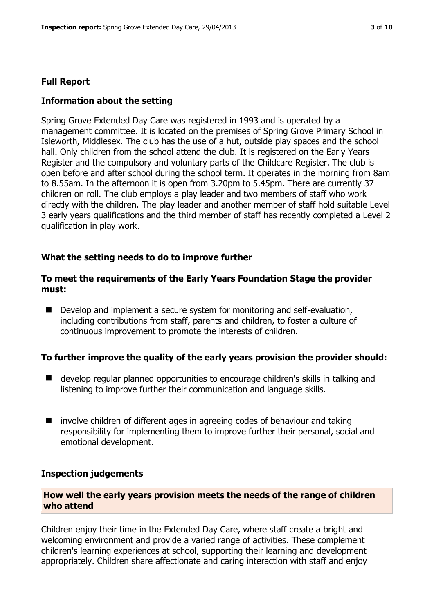#### **Full Report**

#### **Information about the setting**

Spring Grove Extended Day Care was registered in 1993 and is operated by a management committee. It is located on the premises of Spring Grove Primary School in Isleworth, Middlesex. The club has the use of a hut, outside play spaces and the school hall. Only children from the school attend the club. It is registered on the Early Years Register and the compulsory and voluntary parts of the Childcare Register. The club is open before and after school during the school term. It operates in the morning from 8am to 8.55am. In the afternoon it is open from 3.20pm to 5.45pm. There are currently 37 children on roll. The club employs a play leader and two members of staff who work directly with the children. The play leader and another member of staff hold suitable Level 3 early years qualifications and the third member of staff has recently completed a Level 2 qualification in play work.

#### **What the setting needs to do to improve further**

#### **To meet the requirements of the Early Years Foundation Stage the provider must:**

Develop and implement a secure system for monitoring and self-evaluation, including contributions from staff, parents and children, to foster a culture of continuous improvement to promote the interests of children.

#### **To further improve the quality of the early years provision the provider should:**

- develop regular planned opportunities to encourage children's skills in talking and listening to improve further their communication and language skills.
- involve children of different ages in agreeing codes of behaviour and taking responsibility for implementing them to improve further their personal, social and emotional development.

#### **Inspection judgements**

# **How well the early years provision meets the needs of the range of children who attend**

Children enjoy their time in the Extended Day Care, where staff create a bright and welcoming environment and provide a varied range of activities. These complement children's learning experiences at school, supporting their learning and development appropriately. Children share affectionate and caring interaction with staff and enjoy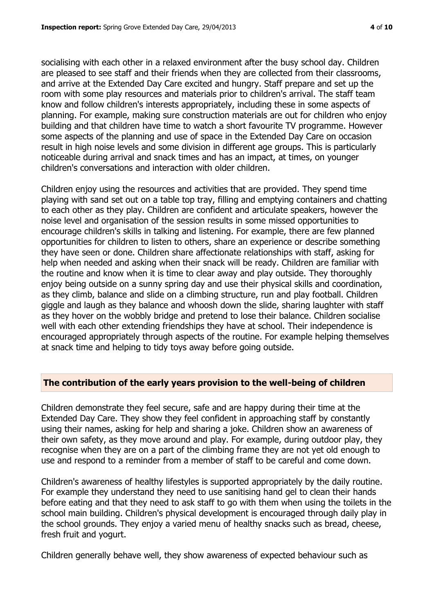socialising with each other in a relaxed environment after the busy school day. Children are pleased to see staff and their friends when they are collected from their classrooms, and arrive at the Extended Day Care excited and hungry. Staff prepare and set up the room with some play resources and materials prior to children's arrival. The staff team know and follow children's interests appropriately, including these in some aspects of planning. For example, making sure construction materials are out for children who enjoy building and that children have time to watch a short favourite TV programme. However some aspects of the planning and use of space in the Extended Day Care on occasion result in high noise levels and some division in different age groups. This is particularly noticeable during arrival and snack times and has an impact, at times, on younger children's conversations and interaction with older children.

Children enjoy using the resources and activities that are provided. They spend time playing with sand set out on a table top tray, filling and emptying containers and chatting to each other as they play. Children are confident and articulate speakers, however the noise level and organisation of the session results in some missed opportunities to encourage children's skills in talking and listening. For example, there are few planned opportunities for children to listen to others, share an experience or describe something they have seen or done. Children share affectionate relationships with staff, asking for help when needed and asking when their snack will be ready. Children are familiar with the routine and know when it is time to clear away and play outside. They thoroughly enjoy being outside on a sunny spring day and use their physical skills and coordination, as they climb, balance and slide on a climbing structure, run and play football. Children giggle and laugh as they balance and whoosh down the slide, sharing laughter with staff as they hover on the wobbly bridge and pretend to lose their balance. Children socialise well with each other extending friendships they have at school. Their independence is encouraged appropriately through aspects of the routine. For example helping themselves at snack time and helping to tidy toys away before going outside.

# **The contribution of the early years provision to the well-being of children**

Children demonstrate they feel secure, safe and are happy during their time at the Extended Day Care. They show they feel confident in approaching staff by constantly using their names, asking for help and sharing a joke. Children show an awareness of their own safety, as they move around and play. For example, during outdoor play, they recognise when they are on a part of the climbing frame they are not yet old enough to use and respond to a reminder from a member of staff to be careful and come down.

Children's awareness of healthy lifestyles is supported appropriately by the daily routine. For example they understand they need to use sanitising hand gel to clean their hands before eating and that they need to ask staff to go with them when using the toilets in the school main building. Children's physical development is encouraged through daily play in the school grounds. They enjoy a varied menu of healthy snacks such as bread, cheese, fresh fruit and yogurt.

Children generally behave well, they show awareness of expected behaviour such as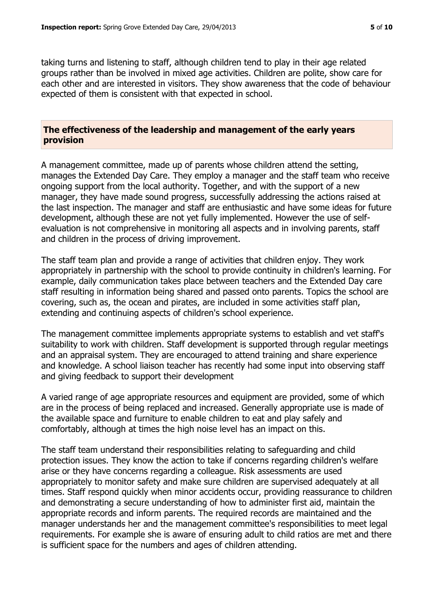taking turns and listening to staff, although children tend to play in their age related groups rather than be involved in mixed age activities. Children are polite, show care for each other and are interested in visitors. They show awareness that the code of behaviour expected of them is consistent with that expected in school.

#### **The effectiveness of the leadership and management of the early years provision**

A management committee, made up of parents whose children attend the setting, manages the Extended Day Care. They employ a manager and the staff team who receive ongoing support from the local authority. Together, and with the support of a new manager, they have made sound progress, successfully addressing the actions raised at the last inspection. The manager and staff are enthusiastic and have some ideas for future development, although these are not yet fully implemented. However the use of selfevaluation is not comprehensive in monitoring all aspects and in involving parents, staff and children in the process of driving improvement.

The staff team plan and provide a range of activities that children enjoy. They work appropriately in partnership with the school to provide continuity in children's learning. For example, daily communication takes place between teachers and the Extended Day care staff resulting in information being shared and passed onto parents. Topics the school are covering, such as, the ocean and pirates, are included in some activities staff plan, extending and continuing aspects of children's school experience.

The management committee implements appropriate systems to establish and vet staff's suitability to work with children. Staff development is supported through regular meetings and an appraisal system. They are encouraged to attend training and share experience and knowledge. A school liaison teacher has recently had some input into observing staff and giving feedback to support their development

A varied range of age appropriate resources and equipment are provided, some of which are in the process of being replaced and increased. Generally appropriate use is made of the available space and furniture to enable children to eat and play safely and comfortably, although at times the high noise level has an impact on this.

The staff team understand their responsibilities relating to safeguarding and child protection issues. They know the action to take if concerns regarding children's welfare arise or they have concerns regarding a colleague. Risk assessments are used appropriately to monitor safety and make sure children are supervised adequately at all times. Staff respond quickly when minor accidents occur, providing reassurance to children and demonstrating a secure understanding of how to administer first aid, maintain the appropriate records and inform parents. The required records are maintained and the manager understands her and the management committee's responsibilities to meet legal requirements. For example she is aware of ensuring adult to child ratios are met and there is sufficient space for the numbers and ages of children attending.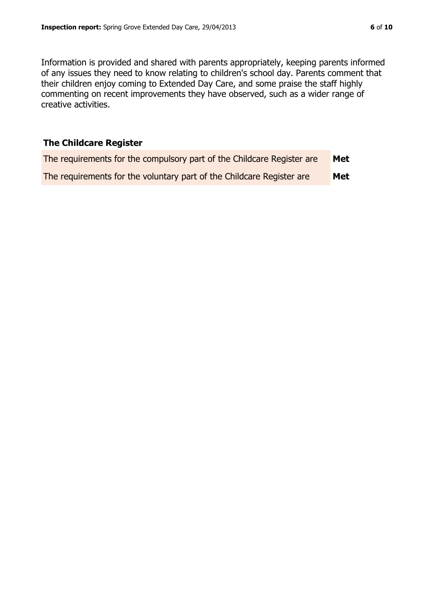Information is provided and shared with parents appropriately, keeping parents informed of any issues they need to know relating to children's school day. Parents comment that their children enjoy coming to Extended Day Care, and some praise the staff highly commenting on recent improvements they have observed, such as a wider range of creative activities.

# **The Childcare Register**

| The requirements for the compulsory part of the Childcare Register are | Met |
|------------------------------------------------------------------------|-----|
| The requirements for the voluntary part of the Childcare Register are  | Met |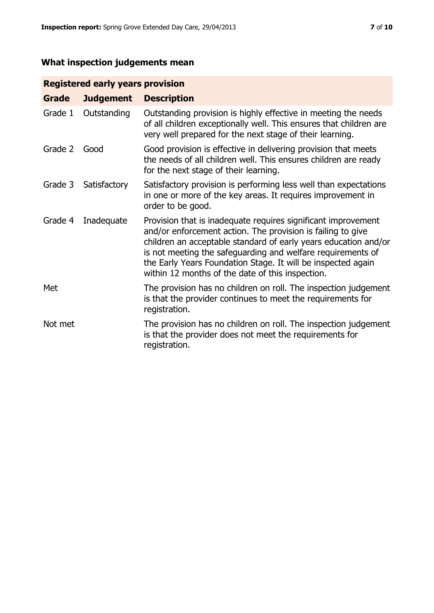# **What inspection judgements mean**

# **Registered early years provision**

| Grade   | <b>Judgement</b> | <b>Description</b>                                                                                                                                                                                                                                                                                                                                                                 |
|---------|------------------|------------------------------------------------------------------------------------------------------------------------------------------------------------------------------------------------------------------------------------------------------------------------------------------------------------------------------------------------------------------------------------|
| Grade 1 | Outstanding      | Outstanding provision is highly effective in meeting the needs<br>of all children exceptionally well. This ensures that children are<br>very well prepared for the next stage of their learning.                                                                                                                                                                                   |
| Grade 2 | Good             | Good provision is effective in delivering provision that meets<br>the needs of all children well. This ensures children are ready<br>for the next stage of their learning.                                                                                                                                                                                                         |
| Grade 3 | Satisfactory     | Satisfactory provision is performing less well than expectations<br>in one or more of the key areas. It requires improvement in<br>order to be good.                                                                                                                                                                                                                               |
| Grade 4 | Inadequate       | Provision that is inadequate requires significant improvement<br>and/or enforcement action. The provision is failing to give<br>children an acceptable standard of early years education and/or<br>is not meeting the safeguarding and welfare requirements of<br>the Early Years Foundation Stage. It will be inspected again<br>within 12 months of the date of this inspection. |
| Met     |                  | The provision has no children on roll. The inspection judgement<br>is that the provider continues to meet the requirements for<br>registration.                                                                                                                                                                                                                                    |
| Not met |                  | The provision has no children on roll. The inspection judgement<br>is that the provider does not meet the requirements for<br>registration.                                                                                                                                                                                                                                        |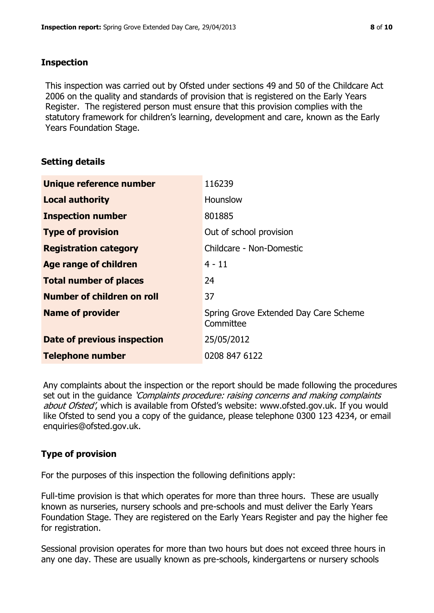# **Inspection**

This inspection was carried out by Ofsted under sections 49 and 50 of the Childcare Act 2006 on the quality and standards of provision that is registered on the Early Years Register. The registered person must ensure that this provision complies with the statutory framework for children's learning, development and care, known as the Early Years Foundation Stage.

# **Setting details**

| Unique reference number       | 116239                                             |
|-------------------------------|----------------------------------------------------|
| <b>Local authority</b>        | <b>Hounslow</b>                                    |
| <b>Inspection number</b>      | 801885                                             |
| <b>Type of provision</b>      | Out of school provision                            |
| <b>Registration category</b>  | Childcare - Non-Domestic                           |
| <b>Age range of children</b>  | $4 - 11$                                           |
| <b>Total number of places</b> | 24                                                 |
| Number of children on roll    | 37                                                 |
| <b>Name of provider</b>       | Spring Grove Extended Day Care Scheme<br>Committee |
| Date of previous inspection   | 25/05/2012                                         |
| <b>Telephone number</b>       | 0208 847 6122                                      |

Any complaints about the inspection or the report should be made following the procedures set out in the quidance *'Complaints procedure: raising concerns and making complaints* about Ofsted', which is available from Ofsted's website: www.ofsted.gov.uk. If you would like Ofsted to send you a copy of the guidance, please telephone 0300 123 4234, or email enquiries@ofsted.gov.uk.

# **Type of provision**

For the purposes of this inspection the following definitions apply:

Full-time provision is that which operates for more than three hours. These are usually known as nurseries, nursery schools and pre-schools and must deliver the Early Years Foundation Stage. They are registered on the Early Years Register and pay the higher fee for registration.

Sessional provision operates for more than two hours but does not exceed three hours in any one day. These are usually known as pre-schools, kindergartens or nursery schools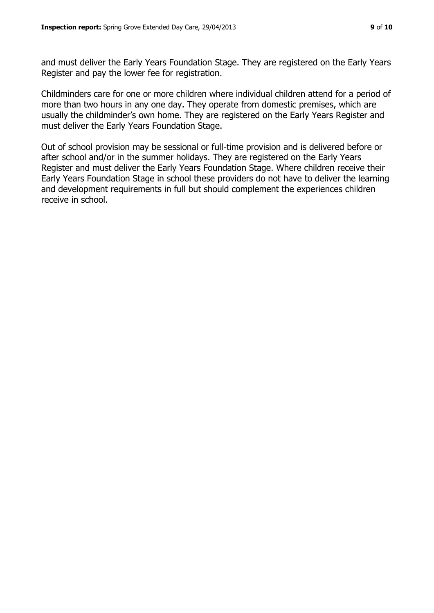and must deliver the Early Years Foundation Stage. They are registered on the Early Years Register and pay the lower fee for registration.

Childminders care for one or more children where individual children attend for a period of more than two hours in any one day. They operate from domestic premises, which are usually the childminder's own home. They are registered on the Early Years Register and must deliver the Early Years Foundation Stage.

Out of school provision may be sessional or full-time provision and is delivered before or after school and/or in the summer holidays. They are registered on the Early Years Register and must deliver the Early Years Foundation Stage. Where children receive their Early Years Foundation Stage in school these providers do not have to deliver the learning and development requirements in full but should complement the experiences children receive in school.